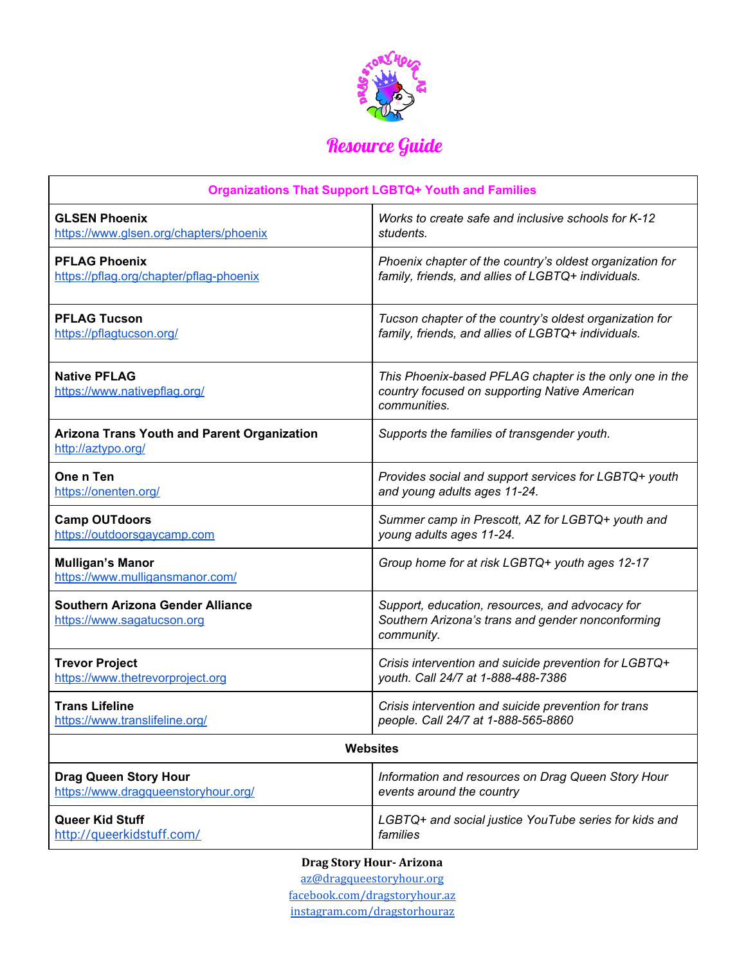

## Resource Guide

| <b>Organizations That Support LGBTQ+ Youth and Families</b>           |                                                                                                                          |
|-----------------------------------------------------------------------|--------------------------------------------------------------------------------------------------------------------------|
| <b>GLSEN Phoenix</b>                                                  | Works to create safe and inclusive schools for K-12                                                                      |
| https://www.glsen.org/chapters/phoenix                                | students.                                                                                                                |
| <b>PFLAG Phoenix</b>                                                  | Phoenix chapter of the country's oldest organization for                                                                 |
| https://pflag.org/chapter/pflag-phoenix                               | family, friends, and allies of LGBTQ+ individuals.                                                                       |
| <b>PFLAG Tucson</b>                                                   | Tucson chapter of the country's oldest organization for                                                                  |
| https://pflagtucson.org/                                              | family, friends, and allies of LGBTQ+ individuals.                                                                       |
| <b>Native PFLAG</b><br>https://www.nativepflag.org/                   | This Phoenix-based PFLAG chapter is the only one in the<br>country focused on supporting Native American<br>communities. |
| Arizona Trans Youth and Parent Organization<br>http://aztypo.org/     | Supports the families of transgender youth.                                                                              |
| One n Ten                                                             | Provides social and support services for LGBTQ+ youth                                                                    |
| https://onenten.org/                                                  | and young adults ages 11-24.                                                                                             |
| <b>Camp OUTdoors</b>                                                  | Summer camp in Prescott, AZ for LGBTQ+ youth and                                                                         |
| https://outdoorsgaycamp.com                                           | young adults ages 11-24.                                                                                                 |
| <b>Mulligan's Manor</b><br>https://www.mulligansmanor.com/            | Group home for at risk LGBTQ+ youth ages 12-17                                                                           |
| <b>Southern Arizona Gender Alliance</b><br>https://www.sagatucson.org | Support, education, resources, and advocacy for<br>Southern Arizona's trans and gender nonconforming<br>community.       |
| <b>Trevor Project</b>                                                 | Crisis intervention and suicide prevention for LGBTQ+                                                                    |
| https://www.thetrevorproject.org                                      | youth. Call 24/7 at 1-888-488-7386                                                                                       |
| <b>Trans Lifeline</b>                                                 | Crisis intervention and suicide prevention for trans                                                                     |
| https://www.translifeline.org/                                        | people. Call 24/7 at 1-888-565-8860                                                                                      |
| <b>Websites</b>                                                       |                                                                                                                          |
| <b>Drag Queen Story Hour</b>                                          | Information and resources on Drag Queen Story Hour                                                                       |
| https://www.dragqueenstoryhour.org/                                   | events around the country                                                                                                |
| Queer Kid Stuff                                                       | LGBTQ+ and social justice YouTube series for kids and                                                                    |
| http://queerkidstuff.com/                                             | families                                                                                                                 |

**Drag Story Hour- Arizona** [az@dragqueestoryhour.org](mailto:az@dragqueestoryhour.org) [facebook.com/dragstoryhour.az](https://www.facebook.com/dragstoryhour.az) [instagram.com/dragstorhouraz](https://www.instagram.com/dragstoryhouraz/)